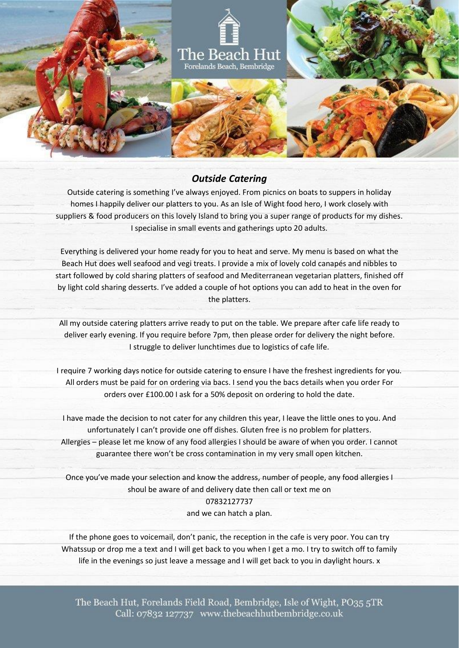

## *Outside Catering*

Outside catering is something I've always enjoyed. From picnics on boats to suppers in holiday homes I happily deliver our platters to you. As an Isle of Wight food hero, I work closely with suppliers & food producers on this lovely Island to bring you a super range of products for my dishes. I specialise in small events and gatherings upto 20 adults.

Everything is delivered your home ready for you to heat and serve. My menu is based on what the Beach Hut does well seafood and vegi treats. I provide a mix of lovely cold canapés and nibbles to start followed by cold sharing platters of seafood and Mediterranean vegetarian platters, finished off by light cold sharing desserts. I've added a couple of hot options you can add to heat in the oven for the platters.

All my outside catering platters arrive ready to put on the table. We prepare after cafe life ready to deliver early evening. If you require before 7pm, then please order for delivery the night before. I struggle to deliver lunchtimes due to logistics of cafe life.

I require 7 working days notice for outside catering to ensure I have the freshest ingredients for you. All orders must be paid for on ordering via bacs. I send you the bacs details when you order For orders over £100.00 I ask for a 50% deposit on ordering to hold the date.

I have made the decision to not cater for any children this year, I leave the little ones to you. And unfortunately I can't provide one off dishes. Gluten free is no problem for platters. Allergies – please let me know of any food allergies I should be aware of when you order. I cannot guarantee there won't be cross contamination in my very small open kitchen.

Once you've made your selection and know the address, number of people, any food allergies I shoul be aware of and delivery date then call or text me on 07832127737 and we can hatch a plan.

If the phone goes to voicemail, don't panic, the reception in the cafe is very poor. You can try Whatssup or drop me a text and I will get back to you when I get a mo. I try to switch off to family life in the evenings so just leave a message and I will get back to you in daylight hours. x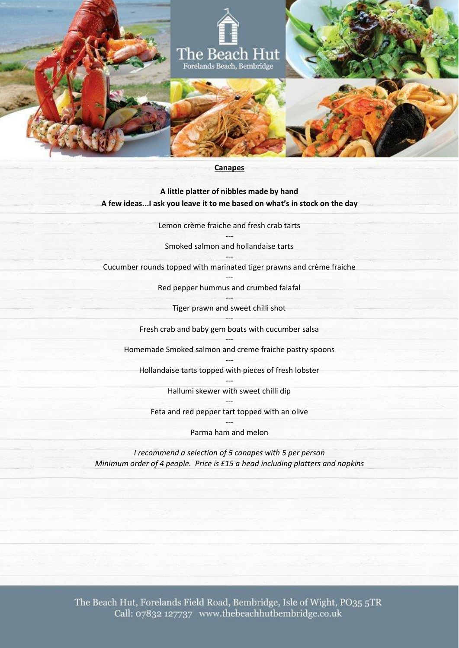

#### **Canapes**

**A little platter of nibbles made by hand A few ideas...I ask you leave it to me based on what's in stock on the day**

> Lemon crème fraiche and fresh crab tarts ---

Smoked salmon and hollandaise tarts

--- Cucumber rounds topped with marinated tiger prawns and crème fraiche

> --- Red pepper hummus and crumbed falafal

--- Tiger prawn and sweet chilli shot

--- Fresh crab and baby gem boats with cucumber salsa

--- Homemade Smoked salmon and creme fraiche pastry spoons

--- Hollandaise tarts topped with pieces of fresh lobster

> --- Hallumi skewer with sweet chilli dip

--- Feta and red pepper tart topped with an olive

> --- Parma ham and melon

*I recommend a selection of 5 canapes with 5 per person Minimum order of 4 people. Price is £15 a head including platters and napkins*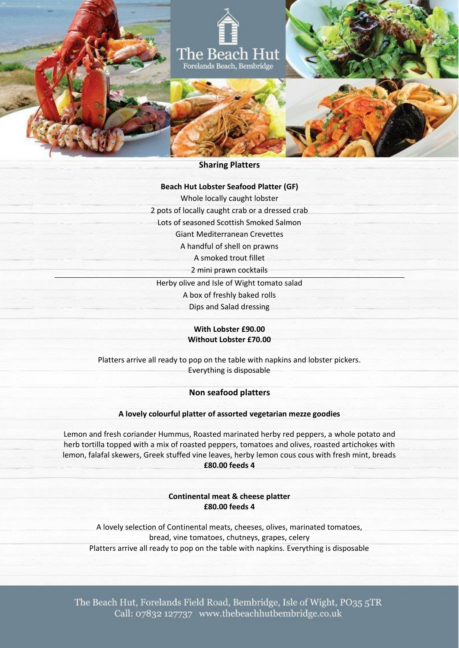

# **Sharing Platters**

# **Beach Hut Lobster Seafood Platter (GF)**

Whole locally caught lobster

2 pots of locally caught crab or a dressed crab

Lots of seasoned Scottish Smoked Salmon

Giant Mediterranean Crevettes

A handful of shell on prawns

A smoked trout fillet

2 mini prawn cocktails

Herby olive and Isle of Wight tomato salad A box of freshly baked rolls Dips and Salad dressing

> **With Lobster £90.00 Without Lobster £70.00**

Platters arrive all ready to pop on the table with napkins and lobster pickers. Everything is disposable

## **Non seafood platters**

#### **A lovely colourful platter of assorted vegetarian mezze goodies**

Lemon and fresh coriander Hummus, Roasted marinated herby red peppers, a whole potato and herb tortilla topped with a mix of roasted peppers, tomatoes and olives, roasted artichokes with lemon, falafal skewers, Greek stuffed vine leaves, herby lemon cous cous with fresh mint, breads **£80.00 feeds 4**

> **Continental meat & cheese platter £80.00 feeds 4**

A lovely selection of Continental meats, cheeses, olives, marinated tomatoes, bread, vine tomatoes, chutneys, grapes, celery Platters arrive all ready to pop on the table with napkins. Everything is disposable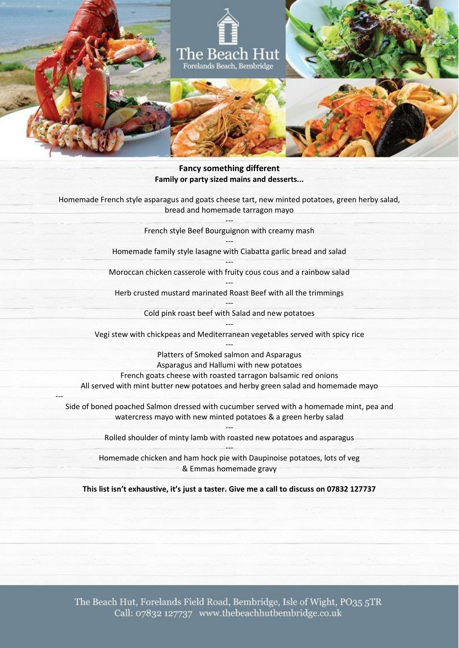

### **Fancy something different Family or party sized mains and desserts...**

Homemade French style asparagus and goats cheese tart, new minted potatoes, green herby salad, bread and homemade tarragon mayo

> --- French style Beef Bourguignon with creamy mash ---

Homemade family style lasagne with Ciabatta garlic bread and salad

--- Moroccan chicken casserole with fruity cous cous and a rainbow salad

--- Herb crusted mustard marinated Roast Beef with all the trimmings

> --- Cold pink roast beef with Salad and new potatoes

--- Vegi stew with chickpeas and Mediterranean vegetables served with spicy rice ---

Platters of Smoked salmon and Asparagus Asparagus and Hallumi with new potatoes French goats cheese with roasted tarragon balsamic red onions All served with mint butter new potatoes and herby green salad and homemade mayo

Side of boned poached Salmon dressed with cucumber served with a homemade mint, pea and watercress mayo with new minted potatoes & a green herby salad

---

--- Rolled shoulder of minty lamb with roasted new potatoes and asparagus ---

Homemade chicken and ham hock pie with Daupinoise potatoes, lots of veg & Emmas homemade gravy

**This list isn't exhaustive, it's just a taster. Give me a call to discuss on 07832 127737**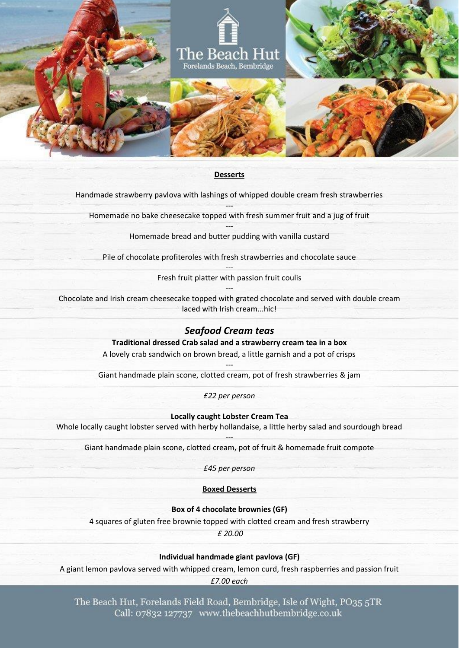

#### **Desserts**

Handmade strawberry pavlova with lashings of whipped double cream fresh strawberries

--- Homemade no bake cheesecake topped with fresh summer fruit and a jug of fruit

> --- Homemade bread and butter pudding with vanilla custard

Pile of chocolate profiteroles with fresh strawberries and chocolate sauce

--- Fresh fruit platter with passion fruit coulis ---

Chocolate and Irish cream cheesecake topped with grated chocolate and served with double cream laced with Irish cream...hic!

## *Seafood Cream teas*

**Traditional dressed Crab salad and a strawberry cream tea in a box**

A lovely crab sandwich on brown bread, a little garnish and a pot of crisps

--- Giant handmade plain scone, clotted cream, pot of fresh strawberries & jam

*£22 per person*

**Locally caught Lobster Cream Tea**

Whole locally caught lobster served with herby hollandaise, a little herby salad and sourdough bread

--- Giant handmade plain scone, clotted cream, pot of fruit & homemade fruit compote

*£45 per person*

### **Boxed Desserts**

**Box of 4 chocolate brownies (GF)**

4 squares of gluten free brownie topped with clotted cream and fresh strawberry

*£ 20.00*

**Individual handmade giant pavlova (GF)**

A giant lemon pavlova served with whipped cream, lemon curd, fresh raspberries and passion fruit

*£7.00 each*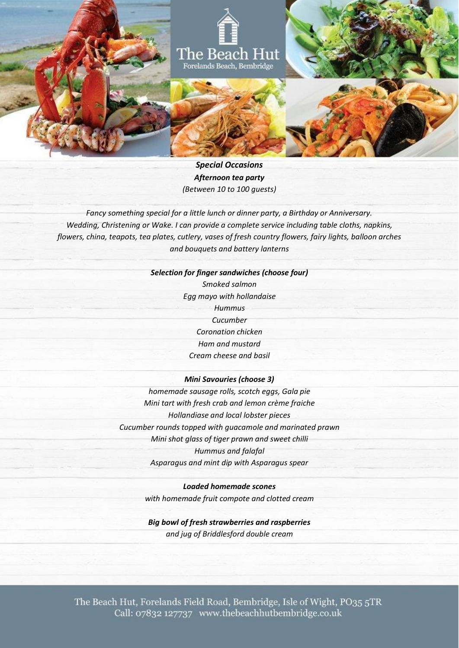

*Special Occasions Afternoon tea party (Between 10 to 100 guests)*

*Fancy something special for a little lunch or dinner party, a Birthday or Anniversary. Wedding, Christening or Wake. I can provide a complete service including table cloths, napkins, flowers, china, teapots, tea plates, cutlery, vases of fresh country flowers, fairy lights, balloon arches and bouquets and battery lanterns*

#### *Selection for finger sandwiches (choose four)*

*Smoked salmon Egg mayo with hollandaise Hummus Cucumber Coronation chicken Ham and mustard Cream cheese and basil*

### *Mini Savouries (choose 3)*

*homemade sausage rolls, scotch eggs, Gala pie Mini tart with fresh crab and lemon crème fraiche Hollandiase and local lobster pieces Cucumber rounds topped with guacamole and marinated prawn Mini shot glass of tiger prawn and sweet chilli Hummus and falafal Asparagus and mint dip with Asparagus spear*

> *Loaded homemade scones with homemade fruit compote and clotted cream*

*Big bowl of fresh strawberries and raspberries and jug of Briddlesford double cream*